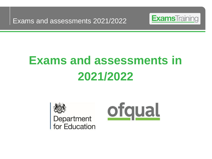Exams and assessments 2021/2022



# **Exams and assessments in 2021/2022**



Department for Education

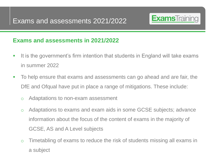

# **Exams and assessments in 2021/2022**

- It is the government's firm intention that students in England will take exams in summer 2022
- To help ensure that exams and assessments can go ahead and are fair, the DfE and Ofqual have put in place a range of mitigations. These include:
	- o Adaptations to non-exam assessment
	- o Adaptations to exams and exam aids in some GCSE subjects; advance information about the focus of the content of exams in the majority of GCSE, AS and A Level subjects
	- o Timetabling of exams to reduce the risk of students missing all exams in a subject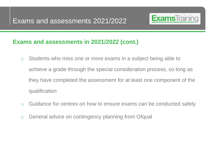

# **Exams and assessments in 2021/2022 (cont.)**

- o Students who miss one or more exams in a subject being able to achieve a grade through the special consideration process, so long as they have completed the assessment for at least one component of the qualification
- o Guidance for centres on how to ensure exams can be conducted safely
- o General advice on contingency planning from Ofqual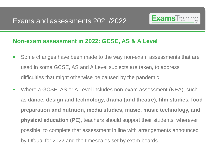

#### **Non-exam assessment in 2022: GCSE, AS & A Level**

- Some changes have been made to the way non-exam assessments that are used in some GCSE, AS and A Level subjects are taken, to address difficulties that might otherwise be caused by the pandemic
- Where a GCSE, AS or A Level includes non-exam assessment (NEA), such as **dance, design and technology, drama (and theatre), film studies, food preparation and nutrition, media studies, music, music technology, and physical education (PE)**, teachers should support their students, wherever possible, to complete that assessment in line with arrangements announced by Ofqual for 2022 and the timescales set by exam boards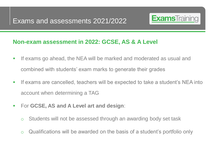

#### **Non-exam assessment in 2022: GCSE, AS & A Level**

- **.** If exams go ahead, the NEA will be marked and moderated as usual and combined with students' exam marks to generate their grades
- If exams are cancelled, teachers will be expected to take a student's NEA into account when determining a TAG
- For **GCSE, AS and A Level art and design**:
	- o Students will not be assessed through an awarding body set task
	- o Qualifications will be awarded on the basis of a student's portfolio only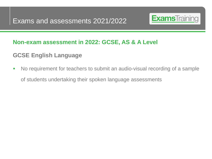

#### **Non-exam assessment in 2022: GCSE, AS & A Level**

# **GCSE English Language**

■ No requirement for teachers to submit an audio-visual recording of a sample of students undertaking their spoken language assessments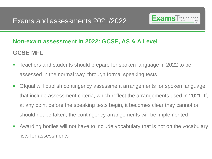

# **Non-exam assessment in 2022: GCSE, AS & A Level GCSE MFL**

- Teachers and students should prepare for spoken language in 2022 to be assessed in the normal way, through formal speaking tests
- Ofqual will publish contingency assessment arrangements for spoken language that include assessment criteria, which reflect the arrangements used in 2021. If, at any point before the speaking tests begin, it becomes clear they cannot or should not be taken, the contingency arrangements will be implemented
- Awarding bodies will not have to include vocabulary that is not on the vocabulary lists for assessments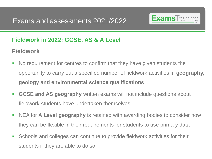

# **Fieldwork in 2022: GCSE, AS & A Level**

# **Fieldwork**

- No requirement for centres to confirm that they have given students the opportunity to carry out a specified number of fieldwork activities in **geography, geology and environmental science qualifications**
- **GCSE and AS geography** written exams will not include questions about fieldwork students have undertaken themselves
- **EXEL FIGHT A Level geography** is retained with awarding bodies to consider how they can be flexible in their requirements for students to use primary data
- **EXECT Schools and colleges can continue to provide fieldwork activities for their** students if they are able to do so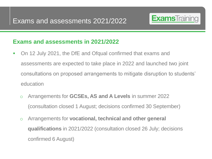

## **Exams and assessments in 2021/2022**

- On 12 July 2021, the DfE and Ofqual confirmed that exams and assessments are expected to take place in 2022 and launched two joint consultations on proposed arrangements to mitigate disruption to students' education
	- o Arrangements for **GCSEs, AS and A Levels** in summer 2022 (consultation closed 1 August; decisions confirmed 30 September)
	- o Arrangements for **vocational, technical and other general qualifications** in 2021/2022 (consultation closed 26 July; decisions confirmed 6 August)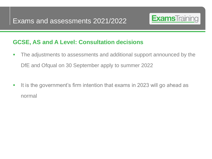

- **•** The adjustments to assessments and additional support announced by the DfE and Ofqual on 30 September apply to summer 2022
- It is the government's firm intention that exams in 2023 will go ahead as normal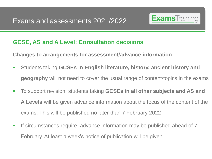

**Changes to arrangements for assessment/advance information**

- Students taking **GCSEs in English literature, history, ancient history and geography** will not need to cover the usual range of content/topics in the exams
- To support revision, students taking **GCSEs in all other subjects and AS and A Levels** will be given advance information about the focus of the content of the exams. This will be published no later than 7 February 2022
- **•** If circumstances require, advance information may be published ahead of 7 February. At least a week's notice of publication will be given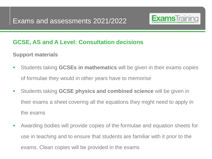

#### **Support materials**

- **EXED Students taking GCSEs in mathematics will be given in their exams copies** of formulae they would in other years have to memorise
- Students taking **GCSE physics and combined science** will be given in their exams a sheet covering all the equations they might need to apply in the exams
- Awarding bodies will provide copies of the formulae and equation sheets for use in teaching and to ensure that students are familiar with it prior to the exams. Clean copies will be provided in the exams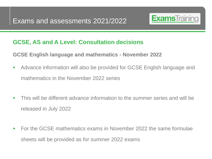

**GCSE English language and mathematics - November 2022**

- Advance information will also be provided for GCSE English language and mathematics in the November 2022 series
- **This will be different advance information to the summer series and will be** released in July 2022
- For the GCSE mathematics exams in November 2022 the same formulae sheets will be provided as for summer 2022 exams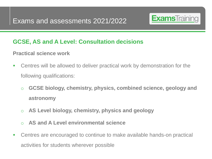

#### **Practical science work**

- Centres will be allowed to deliver practical work by demonstration for the following qualifications:
	- o **GCSE biology, chemistry, physics, combined science, geology and astronomy**
	- o **AS Level biology, chemistry, physics and geology**
	- o **AS and A Level environmental science**
- Centres are encouraged to continue to make available hands-on practical activities for students wherever possible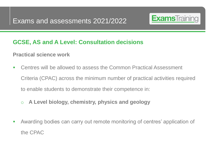

#### **Practical science work**

- Centres will be allowed to assess the Common Practical Assessment Criteria (CPAC) across the minimum number of practical activities required to enable students to demonstrate their competence in:
	- o **A Level biology, chemistry, physics and geology**
- **EXED AWarding bodies can carry out remote monitoring of centres' application of** the CPAC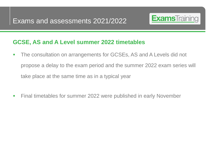

#### **GCSE, AS and A Level summer 2022 timetables**

- **The consultation on arrangements for GCSEs, AS and A Levels did not** propose a delay to the exam period and the summer 2022 exam series will take place at the same time as in a typical year
- Final timetables for summer 2022 were published in early November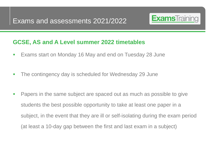

## **GCSE, AS and A Level summer 2022 timetables**

- Exams start on Monday 16 May and end on Tuesday 28 June
- The contingency day is scheduled for Wednesday 29 June
- Papers in the same subject are spaced out as much as possible to give students the best possible opportunity to take at least one paper in a subject, in the event that they are ill or self-isolating during the exam period (at least a 10-day gap between the first and last exam in a subject)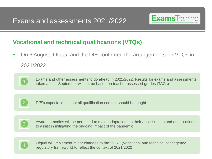

# **Vocational and technical qualifications (VTQs)**

■ On 6 August, Ofqual and the DfE confirmed the arrangements for VTQs in 2021/2022



Exams and other assessments to go ahead in 2021/2022. Results for exams and assessments taken after 1 September will not be based on teacher assessed grades (TAGs)



DfE's expectation is that all qualification content should be taught



Awarding bodies will be permitted to make adaptations to their assessments and qualifications to assist in mitigating the ongoing impact of the pandemic



Ofqual will implement minor changes to the VCRF (Vocational and technical contingency regulatory framework) to reflect the context of 2021/2022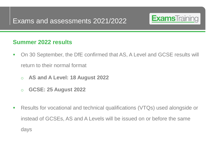

#### **Summer 2022 results**

- On 30 September, the DfE confirmed that AS, A Level and GCSE results will return to their normal format
	- o **AS and A Level: 18 August 2022**
	- o **GCSE: 25 August 2022**
- Results for vocational and technical qualifications (VTQs) used alongside or instead of GCSEs, AS and A Levels will be issued on or before the same days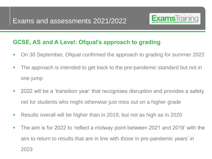

## **GCSE, AS and A Level: Ofqual's approach to grading**

- On 30 September, Ofqual confirmed the approach to grading for summer 2022
- The approach is intended to get back to the pre-pandemic standard but not in one jump
- 2022 will be a 'transition year' that recognises disruption and provides a safety net for students who might otherwise just miss out on a higher grade
- Results overall will be higher than in 2019, but not as high as in 2020
- The aim is for 2022 to 'reflect a midway point between 2021 and 2019' with the aim to return to results that are in line with those in pre-pandemic years' in 2023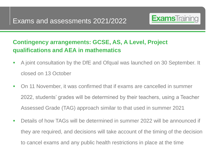

# **Contingency arrangements: GCSE, AS, A Level, Project qualifications and AEA in mathematics**

- A joint consultation by the DfE and Ofqual was launched on 30 September. It closed on 13 October
- On 11 November, it was confirmed that if exams are cancelled in summer 2022, students' grades will be determined by their teachers, using a Teacher Assessed Grade (TAG) approach similar to that used in summer 2021
- Details of how TAGs will be determined in summer 2022 will be announced if they are required, and decisions will take account of the timing of the decision to cancel exams and any public health restrictions in place at the time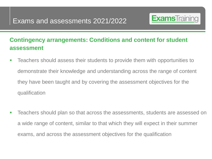

# **Contingency arrangements: Conditions and content for student assessment**

- Teachers should assess their students to provide them with opportunities to demonstrate their knowledge and understanding across the range of content they have been taught and by covering the assessment objectives for the qualification
- **EXEC** Teachers should plan so that across the assessments, students are assessed on a wide range of content, similar to that which they will expect in their summer exams, and across the assessment objectives for the qualification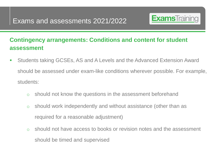

# **Contingency arrangements: Conditions and content for student assessment**

- Students taking GCSEs, AS and A Levels and the Advanced Extension Award should be assessed under exam-like conditions wherever possible. For example, students:
	- o should not know the questions in the assessment beforehand
	- o should work independently and without assistance (other than as required for a reasonable adjustment)
	- o should not have access to books or revision notes and the assessment should be timed and supervised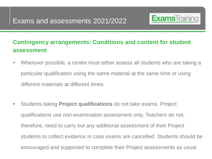

# **Contingency arrangements: Conditions and content for student assessment**

- Wherever possible, a centre must either assess all students who are taking a particular qualification using the same material at the same time or using different materials at different times
- Students taking **Project qualifications** do not take exams. Project qualifications use non-examination assessment only. Teachers do not, therefore, need to carry out any additional assessment of their Project students to collect evidence in case exams are cancelled. Students should be encouraged and supported to complete their Project assessments as usual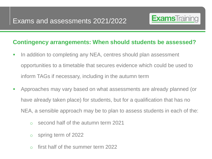

#### **Contingency arrangements: When should students be assessed?**

- **In addition to completing any NEA, centres should plan assessment** opportunities to a timetable that secures evidence which could be used to inform TAGs if necessary, including in the autumn term
- **EXP** Approaches may vary based on what assessments are already planned (or have already taken place) for students, but for a qualification that has no NEA, a sensible approach may be to plan to assess students in each of the:
	- o second half of the autumn term 2021
	- o spring term of 2022
	- $\circ$  first half of the summer term 2022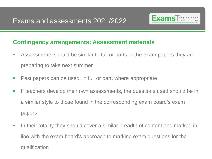

#### **Contingency arrangements: Assessment materials**

- **EXED EXE** Assessments should be similar to full or parts of the exam papers they are preparing to take next summer
- Past papers can be used, in full or part, where appropriate
- If teachers develop their own assessments, the questions used should be in a similar style to those found in the corresponding exam board's exam papers
- **•** In their totality they should cover a similar breadth of content and marked in line with the exam board's approach to marking exam questions for the qualification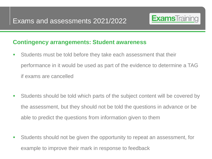

#### **Contingency arrangements: Student awareness**

- **EXECT** Students must be told before they take each assessment that their performance in it would be used as part of the evidence to determine a TAG if exams are cancelled
- **EXECT** Students should be told which parts of the subject content will be covered by the assessment, but they should not be told the questions in advance or be able to predict the questions from information given to them
- **EXECT** Students should not be given the opportunity to repeat an assessment, for example to improve their mark in response to feedback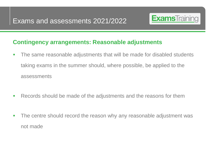

#### **Contingency arrangements: Reasonable adjustments**

- **•** The same reasonable adjustments that will be made for disabled students taking exams in the summer should, where possible, be applied to the assessments
- Records should be made of the adjustments and the reasons for them
- **•** The centre should record the reason why any reasonable adjustment was not made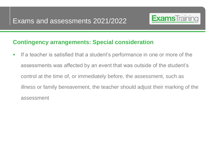

#### **Contingency arrangements: Special consideration**

**.** If a teacher is satisfied that a student's performance in one or more of the assessments was affected by an event that was outside of the student's control at the time of, or immediately before, the assessment, such as illness or family bereavement, the teacher should adjust their marking of the assessment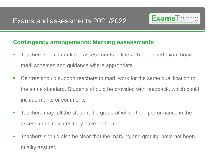

#### **Contingency arrangements: Marking assessments**

- Teachers should mark the assessments in line with published exam board mark schemes and guidance where appropriate
- Centres should support teachers to mark work for the same qualification to the same standard. Students should be provided with feedback, which could include marks or comments
- **EXE** Teachers may tell the student the grade at which their performance in the assessment indicates they have performed
- **EXE** Teachers should also be clear that the marking and grading have not been quality assured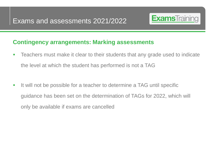

#### **Contingency arrangements: Marking assessments**

- Teachers must make it clear to their students that any grade used to indicate the level at which the student has performed is not a TAG
- It will not be possible for a teacher to determine a TAG until specific guidance has been set on the determination of TAGs for 2022, which will only be available if exams are cancelled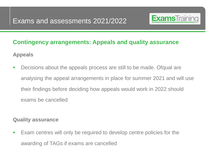

# **Contingency arrangements: Appeals and quality assurance**

**Appeals**

■ Decisions about the appeals process are still to be made. Ofqual are analysing the appeal arrangements in place for summer 2021 and will use their findings before deciding how appeals would work in 2022 should exams be cancelled

#### **Quality assurance**

▪ Exam centres will only be required to develop centre policies for the awarding of TAGs if exams are cancelled